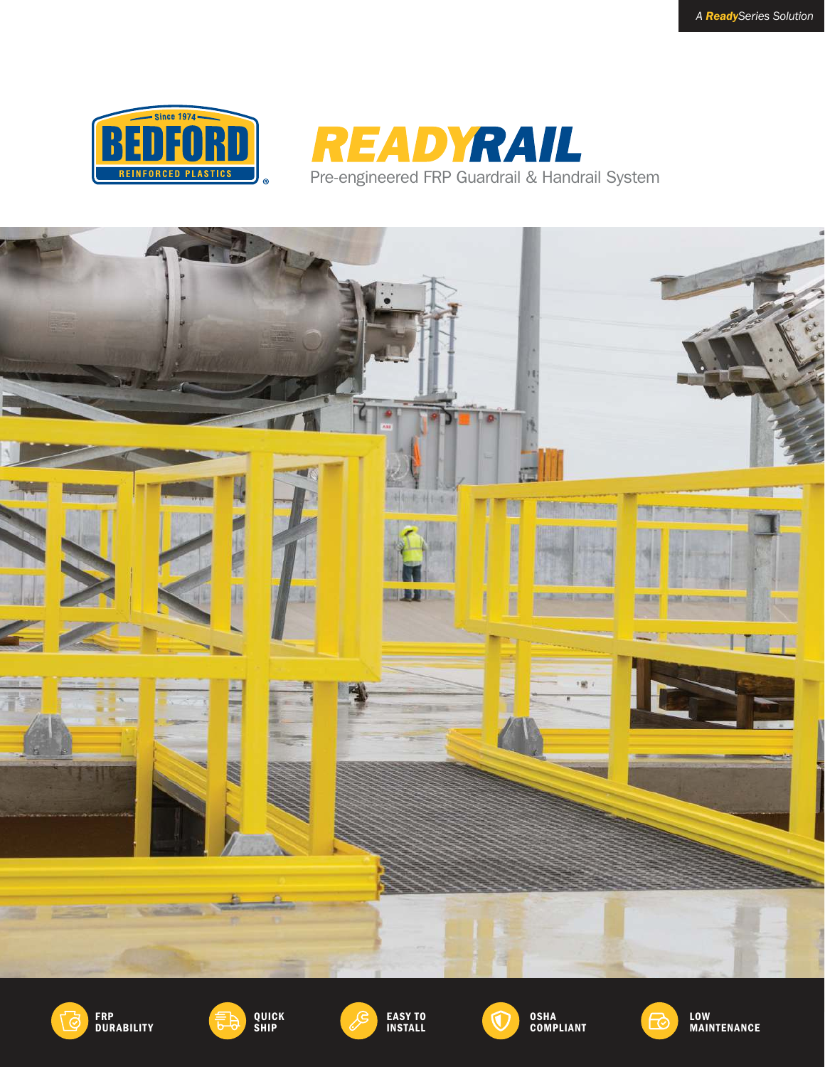



Pre-engineered FRP Guardrail & Handrail System







EASY TO INSTALL



OSHA COMPLIANT



MAINTENANCE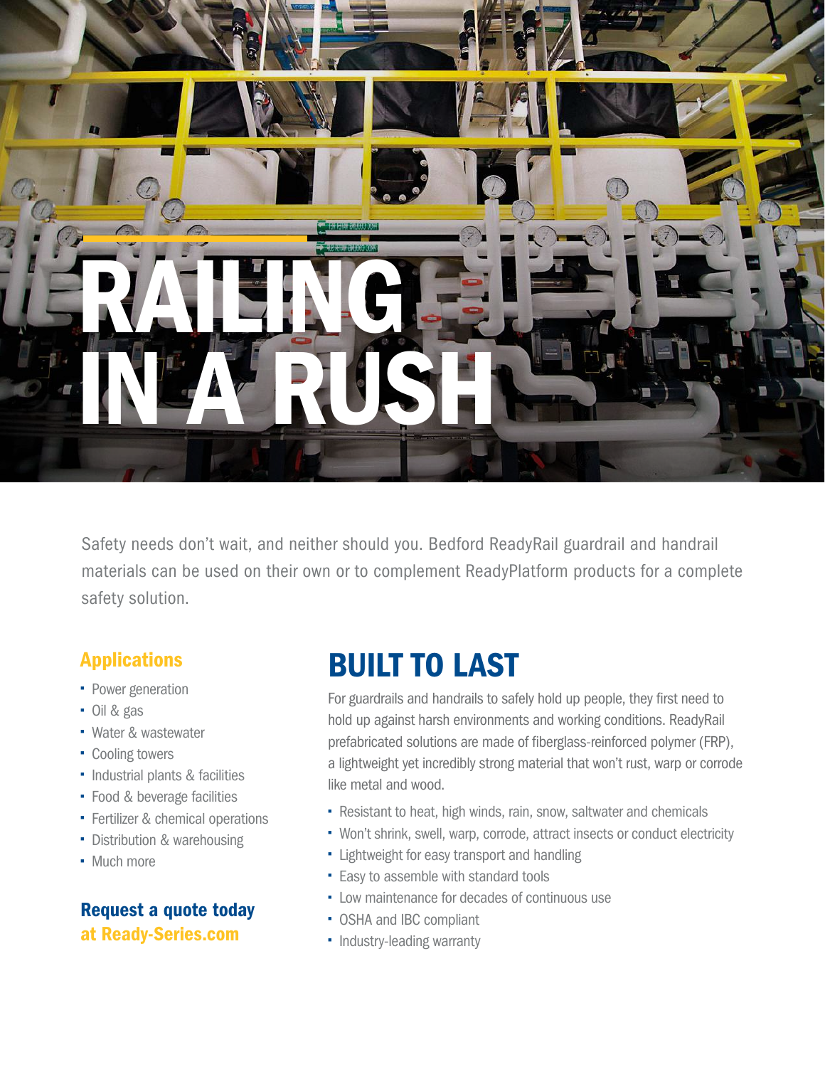

Safety needs don't wait, and neither should you. Bedford ReadyRail guardrail and handrail materials can be used on their own or to complement ReadyPlatform products for a complete safety solution.

## Applications

- Power generation
- Oil & gas
- Water & wastewater
- Cooling towers
- Industrial plants & facilities
- Food & beverage facilities
- **Fertilizer & chemical operations**
- Distribution & warehousing
- Much more

### Request a quote today at Ready-Series.com

# BUILT TO LAST

For guardrails and handrails to safely hold up people, they first need to hold up against harsh environments and working conditions. ReadyRail prefabricated solutions are made of fiberglass-reinforced polymer (FRP), a lightweight yet incredibly strong material that won't rust, warp or corrode like metal and wood.

- Resistant to heat, high winds, rain, snow, saltwater and chemicals
- Won't shrink, swell, warp, corrode, attract insects or conduct electricity
- **-** Lightweight for easy transport and handling
- **Easy to assemble with standard tools**
- Low maintenance for decades of continuous use
- OSHA and IBC compliant
- Industry-leading warranty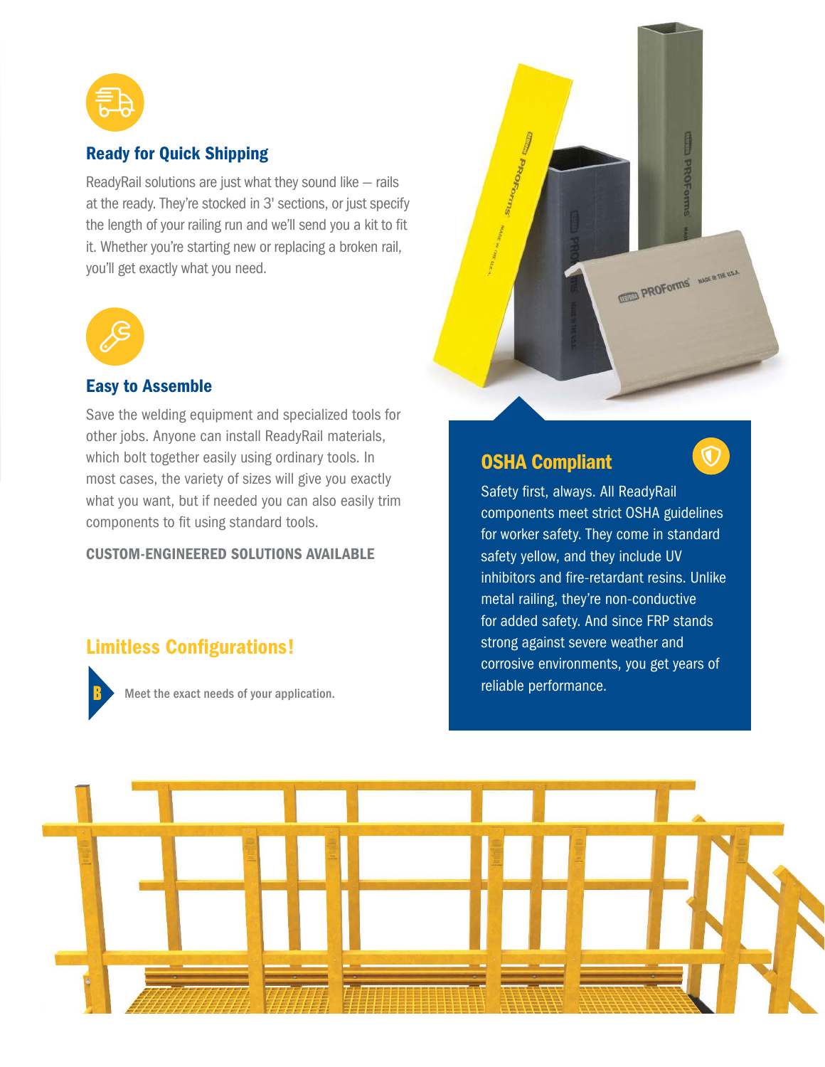

#### Ready for Quick Shipping

ReadyRail solutions are just what they sound like — rails at the ready. They're stocked in 3' sections, or just specify the length of your railing run and we'll send you a kit to fit it. Whether you're starting new or replacing a broken rail, you'll get exactly what you need.



#### Easy to Assemble

Save the welding equipment and specialized tools for other jobs. Anyone can install ReadyRail materials, which bolt together easily using ordinary tools. In most cases, the variety of sizes will give you exactly what you want, but if needed you can also easily trim components to fit using standard tools.

#### CUSTOM-ENGINEERED SOLUTIONS AVAILABLE

#### Limitless Configurations!



reliable performance. Meet the exact needs of your application.



### OSHA Compliant

Safety first, always. All ReadyRail components meet strict OSHA guidelines for worker safety. They come in standard safety yellow, and they include UV inhibitors and fire-retardant resins. Unlike metal railing, they're non-conductive for added safety. And since FRP stands strong against severe weather and corrosive environments, you get years of